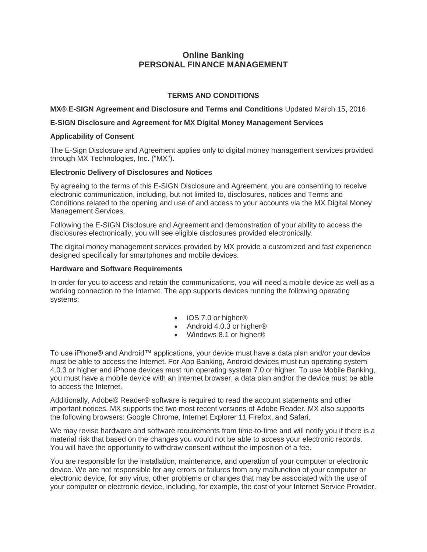# **Online Banking PERSONAL FINANCE MANAGEMENT**

# **TERMS AND CONDITIONS**

**MX® E-SIGN Agreement and Disclosure and Terms and Conditions** Updated March 15, 2016

## **E-SIGN Disclosure and Agreement for MX Digital Money Management Services**

## **Applicability of Consent**

 The E-Sign Disclosure and Agreement applies only to digital money management services provided through MX Technologies, Inc. ("MX").

## **Electronic Delivery of Disclosures and Notices**

 electronic communication, including, but not limited to, disclosures, notices and Terms and Conditions related to the opening and use of and access to your accounts via the MX Digital Money By agreeing to the terms of this E-SIGN Disclosure and Agreement, you are consenting to receive Management Services.

 disclosures electronically, you will see eligible disclosures provided electronically. Following the E-SIGN Disclosure and Agreement and demonstration of your ability to access the

 The digital money management services provided by MX provide a customized and fast experience designed specifically for smartphones and mobile devices.

### **Hardware and Software Requirements**

 In order for you to access and retain the communications, you will need a mobile device as well as a working connection to the Internet. The app supports devices running the following operating systems:

- iOS 7.0 or higher®
- Android 4.0.3 or higher<sup>®</sup>
- Windows 8.1 or higher<sup>®</sup>

 must be able to access the Internet. For App Banking, Android devices must run operating system 4.0.3 or higher and iPhone devices must run operating system 7.0 or higher. To use Mobile Banking, you must have a mobile device with an Internet browser, a data plan and/or the device must be able To use iPhone® and Android™ applications, your device must have a data plan and/or your device to access the Internet.

 important notices. MX supports the two most recent versions of Adobe Reader. MX also supports the following browsers: Google Chrome, Internet Explorer 11 Firefox, and Safari. Additionally, Adobe® Reader® software is required to read the account statements and other

 We may revise hardware and software requirements from time-to-time and will notify you if there is a material risk that based on the changes you would not be able to access your electronic records. You will have the opportunity to withdraw consent without the imposition of a fee.

 device. We are not responsible for any errors or failures from any malfunction of your computer or electronic device, for any virus, other problems or changes that may be associated with the use of your computer or electronic device, including, for example, the cost of your Internet Service Provider. You are responsible for the installation, maintenance, and operation of your computer or electronic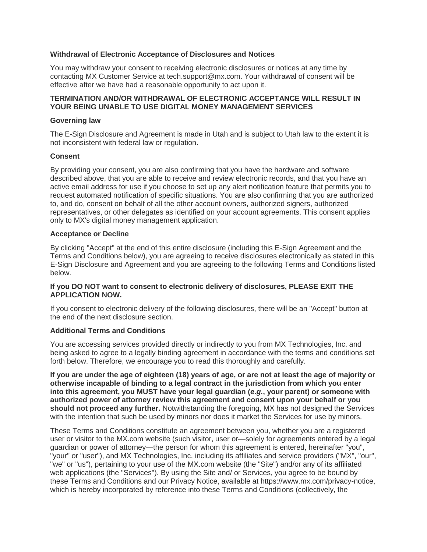#### **Withdrawal of Electronic Acceptance of Disclosures and Notices**

 You may withdraw your consent to receiving electronic disclosures or notices at any time by contacting MX Customer Service at [tech.support@mx.com.](mailto:tech.support@mx.com) Your withdrawal of consent will be effective after we have had a reasonable opportunity to act upon it.

### **TERMINATION AND/OR WITHDRAWAL OF ELECTRONIC ACCEPTANCE WILL RESULT IN YOUR BEING UNABLE TO USE DIGITAL MONEY MANAGEMENT SERVICES**

#### **Governing law**

 The E-Sign Disclosure and Agreement is made in Utah and is subject to Utah law to the extent it is not inconsistent with federal law or regulation.

### **Consent**

 By providing your consent, you are also confirming that you have the hardware and software described above, that you are able to receive and review electronic records, and that you have an active email address for use if you choose to set up any alert notification feature that permits you to to, and do, consent on behalf of all the other account owners, authorized signers, authorized only to MX's digital money management application. request automated notification of specific situations. You are also confirming that you are authorized representatives, or other delegates as identified on your account agreements. This consent applies

### **Acceptance or Decline**

 By clicking "Accept" at the end of this entire disclosure (including this E-Sign Agreement and the Terms and Conditions below), you are agreeing to receive disclosures electronically as stated in this E-Sign Disclosure and Agreement and you are agreeing to the following Terms and Conditions listed below.

### **If you DO NOT want to consent to electronic delivery of disclosures, PLEASE EXIT THE APPLICATION NOW.**

 If you consent to electronic delivery of the following disclosures, there will be an "Accept" button at the end of the next disclosure section.

#### **Additional Terms and Conditions**

 You are accessing services provided directly or indirectly to you from MX Technologies, Inc. and forth below. Therefore, we encourage you to read this thoroughly and carefully. being asked to agree to a legally binding agreement in accordance with the terms and conditions set

 **If you are under the age of eighteen (18) years of age, or are not at least the age of majority or otherwise incapable of binding to a legal contract in the jurisdiction from which you enter into this agreement, you MUST have your legal guardian (***e.g.***, your parent) or someone with authorized power of attorney review this agreement and consent upon your behalf or you should not proceed any further.** Notwithstanding the foregoing, MX has not designed the Services with the intention that such be used by minors nor does it market the Services for use by minors.

 These Terms and Conditions constitute an agreement between you, whether you are a registered user or visitor to the MX.com website (such visitor, user or—solely for agreements entered by a legal guardian or power of attorney—the person for whom this agreement is entered, hereinafter "you", "your" or "user"), and MX Technologies, Inc. including its affiliates and service providers ("MX", "our", "we" or "us"), pertaining to your use of the MX.com website (the "Site") and/or any of its affiliated web applications (the "Services"). By using the Site and/ or Services, you agree to be bound by these Terms and Conditions and our Privacy Notice, available at [https://www.mx.com/privacy-notice,](https://www.mx.com/privacy-notice) which is hereby incorporated by reference into these Terms and Conditions (collectively, the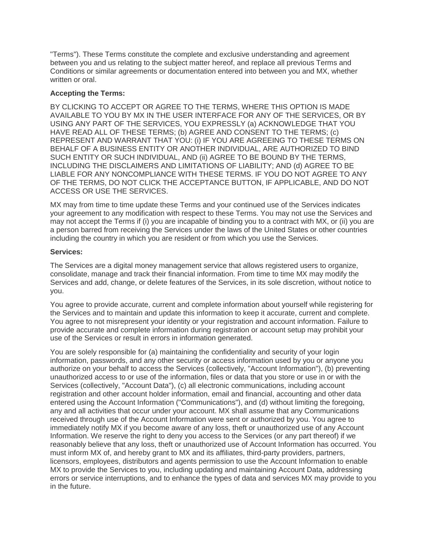"Terms"). These Terms constitute the complete and exclusive understanding and agreement between you and us relating to the subject matter hereof, and replace all previous Terms and Conditions or similar agreements or documentation entered into between you and MX, whether written or oral.

### **Accepting the Terms:**

 BY CLICKING TO ACCEPT OR AGREE TO THE TERMS, WHERE THIS OPTION IS MADE AVAILABLE TO YOU BY MX IN THE USER INTERFACE FOR ANY OF THE SERVICES, OR BY USING ANY PART OF THE SERVICES, YOU EXPRESSLY (a) ACKNOWLEDGE THAT YOU HAVE READ ALL OF THESE TERMS; (b) AGREE AND CONSENT TO THE TERMS; (c) REPRESENT AND WARRANT THAT YOU: (i) IF YOU ARE AGREEING TO THESE TERMS ON BEHALF OF A BUSINESS ENTITY OR ANOTHER INDIVIDUAL, ARE AUTHORIZED TO BIND SUCH ENTITY OR SUCH INDIVIDUAL, AND (ii) AGREE TO BE BOUND BY THE TERMS, INCLUDING THE DISCLAIMERS AND LIMITATIONS OF LIABILITY; AND (d) AGREE TO BE LIABLE FOR ANY NONCOMPLIANCE WITH THESE TERMS. IF YOU DO NOT AGREE TO ANY OF THE TERMS, DO NOT CLICK THE ACCEPTANCE BUTTON, IF APPLICABLE, AND DO NOT ACCESS OR USE THE SERVICES.

 MX may from time to time update these Terms and your continued use of the Services indicates your agreement to any modification with respect to these Terms. You may not use the Services and may not accept the Terms if (i) you are incapable of binding you to a contract with MX, or (ii) you are including the country in which you are resident or from which you use the Services. a person barred from receiving the Services under the laws of the United States or other countries

### **Services:**

 The Services are a digital money management service that allows registered users to organize, consolidate, manage and track their financial information. From time to time MX may modify the Services and add, change, or delete features of the Services, in its sole discretion, without notice to you.

 You agree to provide accurate, current and complete information about yourself while registering for the Services and to maintain and update this information to keep it accurate, current and complete. provide accurate and complete information during registration or account setup may prohibit your You agree to not misrepresent your identity or your registration and account information. Failure to use of the Services or result in errors in information generated.

 You are solely responsible for (a) maintaining the confidentiality and security of your login information, passwords, and any other security or access information used by you or anyone you authorize on your behalf to access the Services (collectively, "Account Information"), (b) preventing unauthorized access to or use of the information, files or data that you store or use in or with the Services (collectively, "Account Data"), (c) all electronic communications, including account registration and other account holder information, email and financial, accounting and other data any and all activities that occur under your account. MX shall assume that any Communications received through use of the Account Information were sent or authorized by you. You agree to immediately notify MX if you become aware of any loss, theft or unauthorized use of any Account Information. We reserve the right to deny you access to the Services (or any part thereof) if we reasonably believe that any loss, theft or unauthorized use of Account Information has occurred. You must inform MX of, and hereby grant to MX and its affiliates, third-party providers, partners, MX to provide the Services to you, including updating and maintaining Account Data, addressing errors or service interruptions, and to enhance the types of data and services MX may provide to you entered using the Account Information ("Communications"), and (d) without limiting the foregoing, licensors, employees, distributors and agents permission to use the Account Information to enable in the future.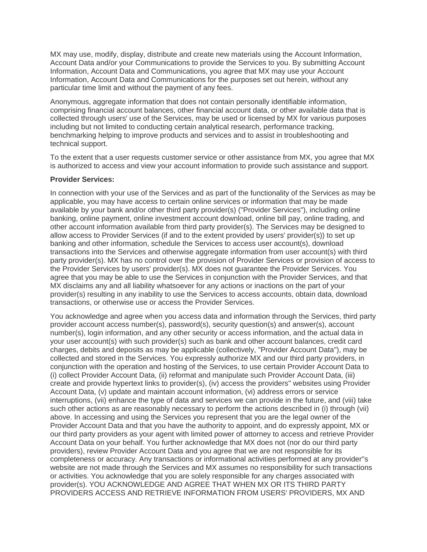MX may use, modify, display, distribute and create new materials using the Account Information, Account Data and/or your Communications to provide the Services to you. By submitting Account Information, Account Data and Communications, you agree that MX may use your Account Information, Account Data and Communications for the purposes set out herein, without any particular time limit and without the payment of any fees.

 Anonymous, aggregate information that does not contain personally identifiable information, comprising financial account balances, other financial account data, or other available data that is collected through users' use of the Services, may be used or licensed by MX for various purposes including but not limited to conducting certain analytical research, performance tracking, benchmarking helping to improve products and services and to assist in troubleshooting and technical support.

 To the extent that a user requests customer service or other assistance from MX, you agree that MX is authorized to access and view your account information to provide such assistance and support.

### **Provider Services:**

 In connection with your use of the Services and as part of the functionality of the Services as may be applicable, you may have access to certain online services or information that may be made available by your bank and/or other third party provider(s) ("Provider Services"), including online banking, online payment, online investment account download, online bill pay, online trading, and other account information available from third party provider(s). The Services may be designed to allow access to Provider Services (if and to the extent provided by users' provider(s)) to set up party provider(s). MX has no control over the provision of Provider Services or provision of access to the Provider Services by users' provider(s). MX does not guarantee the Provider Services. You agree that you may be able to use the Services in conjunction with the Provider Services, and that MX disclaims any and all liability whatsoever for any actions or inactions on the part of your provider(s) resulting in any inability to use the Services to access accounts, obtain data, download banking and other information, schedule the Services to access user account(s), download transactions into the Services and otherwise aggregate information from user account(s) with third transactions, or otherwise use or access the Provider Services.

 You acknowledge and agree when you access data and information through the Services, third party provider account access number(s), password(s), security question(s) and answer(s), account number(s), login information, and any other security or access information, and the actual data in your user account(s) with such provider(s) such as bank and other account balances, credit card charges, debits and deposits as may be applicable (collectively, "Provider Account Data"), may be collected and stored in the Services. You expressly authorize MX and our third party providers, in (i) collect Provider Account Data, (ii) reformat and manipulate such Provider Account Data, (iii) create and provide hypertext links to provider(s), (iv) access the providers'' websites using Provider Account Data, (v) update and maintain account information, (vi) address errors or service interruptions, (vii) enhance the type of data and services we can provide in the future, and (viii) take such other actions as are reasonably necessary to perform the actions described in (i) through (vii) above. In accessing and using the Services you represent that you are the legal owner of the Provider Account Data and that you have the authority to appoint, and do expressly appoint, MX or our third party providers as your agent with limited power of attorney to access and retrieve Provider Account Data on your behalf. You further acknowledge that MX does not (nor do our third party providers), review Provider Account Data and you agree that we are not responsible for its completeness or accuracy. Any transactions or informational activities performed at any provider''s or activities. You acknowledge that you are solely responsible for any charges associated with provider(s). YOU ACKNOWLEDGE AND AGREE THAT WHEN MX OR ITS THIRD PARTY PROVIDERS ACCESS AND RETRIEVE INFORMATION FROM USERS' PROVIDERS, MX AND conjunction with the operation and hosting of the Services, to use certain Provider Account Data to website are not made through the Services and MX assumes no responsibility for such transactions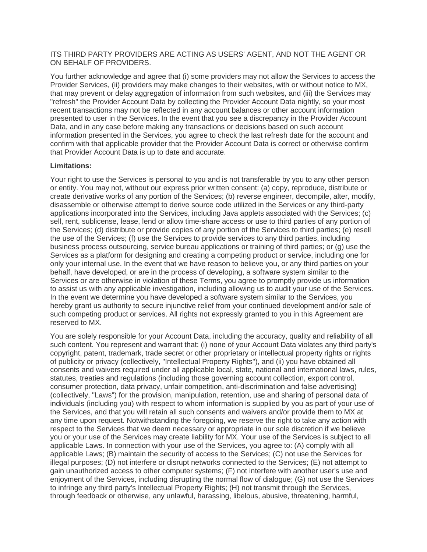ITS THIRD PARTY PROVIDERS ARE ACTING AS USERS' AGENT, AND NOT THE AGENT OR ON BEHALF OF PROVIDERS.

 You further acknowledge and agree that (i) some providers may not allow the Services to access the Provider Services, (ii) providers may make changes to their websites, with or without notice to MX, that may prevent or delay aggregation of information from such websites, and (iii) the Services may recent transactions may not be reflected in any account balances or other account information presented to user in the Services. In the event that you see a discrepancy in the Provider Account Data, and in any case before making any transactions or decisions based on such account information presented in the Services, you agree to check the last refresh date for the account and confirm with that applicable provider that the Provider Account Data is correct or otherwise confirm "refresh" the Provider Account Data by collecting the Provider Account Data nightly, so your most that Provider Account Data is up to date and accurate.

### **Limitations:**

 Your right to use the Services is personal to you and is not transferable by you to any other person or entity. You may not, without our express prior written consent: (a) copy, reproduce, distribute or create derivative works of any portion of the Services; (b) reverse engineer, decompile, alter, modify, applications incorporated into the Services, including Java applets associated with the Services; (c) sell, rent, sublicense, lease, lend or allow time-share access or use to third parties of any portion of the Services; (d) distribute or provide copies of any portion of the Services to third parties; (e) resell the use of the Services; (f) use the Services to provide services to any third parties, including Services as a platform for designing and creating a competing product or service, including one for only your internal use. In the event that we have reason to believe you, or any third parties on your behalf, have developed, or are in the process of developing, a software system similar to the to assist us with any applicable investigation, including allowing us to audit your use of the Services. hereby grant us authority to secure injunctive relief from your continued development and/or sale of such competing product or services. All rights not expressly granted to you in this Agreement are disassemble or otherwise attempt to derive source code utilized in the Services or any third-party business process outsourcing, service bureau applications or training of third parties; or (g) use the Services or are otherwise in violation of these Terms, you agree to promptly provide us information In the event we determine you have developed a software system similar to the Services, you reserved to MX.

 You are solely responsible for your Account Data, including the accuracy, quality and reliability of all such content. You represent and warrant that: (i) none of your Account Data violates any third party's copyright, patent, trademark, trade secret or other proprietary or intellectual property rights or rights of publicity or privacy (collectively, "Intellectual Property Rights"), and (ii) you have obtained all consents and waivers required under all applicable local, state, national and international laws, rules, statutes, treaties and regulations (including those governing account collection, export control, consumer protection, data privacy, unfair competition, anti-discrimination and false advertising) (collectively, "Laws") for the provision, manipulation, retention, use and sharing of personal data of individuals (including you) with respect to whom information is supplied by you as part of your use of the Services, and that you will retain all such consents and waivers and/or provide them to MX at any time upon request. Notwithstanding the foregoing, we reserve the right to take any action with respect to the Services that we deem necessary or appropriate in our sole discretion if we believe you or your use of the Services may create liability for MX. Your use of the Services is subject to all applicable Laws. In connection with your use of the Services, you agree to: (A) comply with all applicable Laws; (B) maintain the security of access to the Services; (C) not use the Services for illegal purposes; (D) not interfere or disrupt networks connected to the Services; (E) not attempt to gain unauthorized access to other computer systems; (F) not interfere with another user's use and enjoyment of the Services, including disrupting the normal flow of dialogue; (G) not use the Services to infringe any third party's Intellectual Property Rights; (H) not transmit through the Services, through feedback or otherwise, any unlawful, harassing, libelous, abusive, threatening, harmful,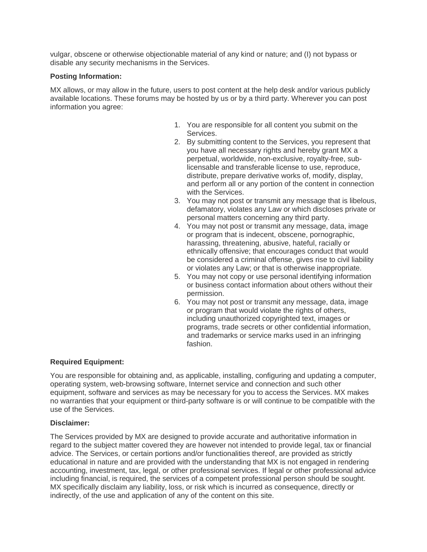vulgar, obscene or otherwise objectionable material of any kind or nature; and (I) not bypass or disable any security mechanisms in the Services.

## **Posting Information:**

 MX allows, or may allow in the future, users to post content at the help desk and/or various publicly available locations. These forums may be hosted by us or by a third party. Wherever you can post information you agree:

- 1. You are responsible for all content you submit on the **Services**
- 2. By submitting content to the Services, you represent that you have all necessary rights and hereby grant MX a perpetual, worldwide, non-exclusive, royalty-free, sub- licensable and transferable license to use, reproduce, distribute, prepare derivative works of, modify, display, and perform all or any portion of the content in connection with the Services.
- 3. You may not post or transmit any message that is libelous, defamatory, violates any Law or which discloses private or personal matters concerning any third party.
- 4. You may not post or transmit any message, data, image or program that is indecent, obscene, pornographic, harassing, threatening, abusive, hateful, racially or ethnically offensive; that encourages conduct that would be considered a criminal offense, gives rise to civil liability or violates any Law; or that is otherwise inappropriate.
- 5. You may not copy or use personal identifying information or business contact information about others without their permission.
- 6. You may not post or transmit any message, data, image or program that would violate the rights of others, including unauthorized copyrighted text, images or programs, trade secrets or other confidential information, and trademarks or service marks used in an infringing fashion.

# **Required Equipment:**

 You are responsible for obtaining and, as applicable, installing, configuring and updating a computer, operating system, web-browsing software, Internet service and connection and such other equipment, software and services as may be necessary for you to access the Services. MX makes no warranties that your equipment or third-party software is or will continue to be compatible with the use of the Services.

## **Disclaimer:**

 The Services provided by MX are designed to provide accurate and authoritative information in educational in nature and are provided with the understanding that MX is not engaged in rendering accounting, investment, tax, legal, or other professional services. If legal or other professional advice including financial, is required, the services of a competent professional person should be sought. MX specifically disclaim any liability, loss, or risk which is incurred as consequence, directly or indirectly, of the use and application of any of the content on this site. regard to the subject matter covered they are however not intended to provide legal, tax or financial advice. The Services, or certain portions and/or functionalities thereof, are provided as strictly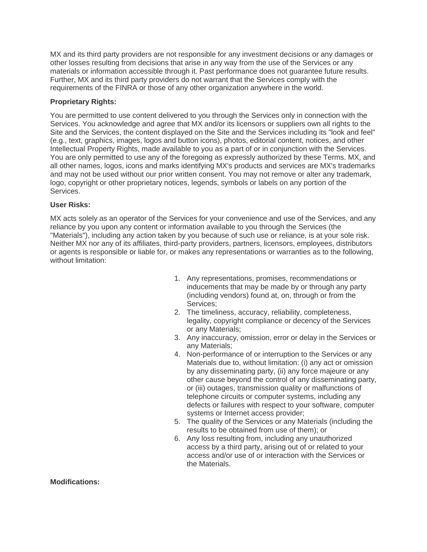MX and its third party providers are not responsible for any investment decisions or any damages or other losses resulting from decisions that arise in any way from the use of the Services or any materials or information accessible through it. Past performance does not guarantee future results. Further, MX and its third party providers do not warrant that the Services comply with the requirements of the FINRA or those of any other organization anywhere in the world.

## **Proprietary Rights:**

 Services. You acknowledge and agree that MX and/or its licensors or suppliers own all rights to the Site and the Services, the content displayed on the Site and the Services including its "look and feel" (e.g., text, graphics, images, logos and button icons), photos, editorial content, notices, and other Intellectual Property Rights, made available to you as a part of or in conjunction with the Services. You are only permitted to use any of the foregoing as expressly authorized by these Terms. MX, and all other names, logos, icons and marks identifying MX's products and services are MX's trademarks and may not be used without our prior written consent. You may not remove or alter any trademark, logo, copyright or other proprietary notices, legends, symbols or labels on any portion of the You are permitted to use content delivered to you through the Services only in connection with the Services.

## **User Risks:**

 MX acts solely as an operator of the Services for your convenience and use of the Services, and any reliance by you upon any content or information available to you through the Services (the "Materials"), including any action taken by you because of such use or reliance, is at your sole risk. Neither MX nor any of its affiliates, third-party providers, partners, licensors, employees, distributors or agents is responsible or liable for, or makes any representations or warranties as to the following, without limitation:

- inducements that may be made by or through any party (including vendors) found at, on, through or from the 1. Any representations, promises, recommendations or Services;
- 2. The timeliness, accuracy, reliability, completeness, legality, copyright compliance or decency of the Services or any Materials;
- 3. Any inaccuracy, omission, error or delay in the Services or any Materials;
- 4. Non-performance of or interruption to the Services or any Materials due to, without limitation: (i) any act or omission by any disseminating party, (ii) any force majeure or any other cause beyond the control of any disseminating party, or (iii) outages, transmission quality or malfunctions of systems or Internet access provider; telephone circuits or computer systems, including any defects or failures with respect to your software, computer
- 5. The quality of the Services or any Materials (including the results to be obtained from use of them); or
- access by a third party, arising out of or related to your access and/or use of or interaction with the Services or 6. Any loss resulting from, including any unauthorized the Materials.

**Modifications:**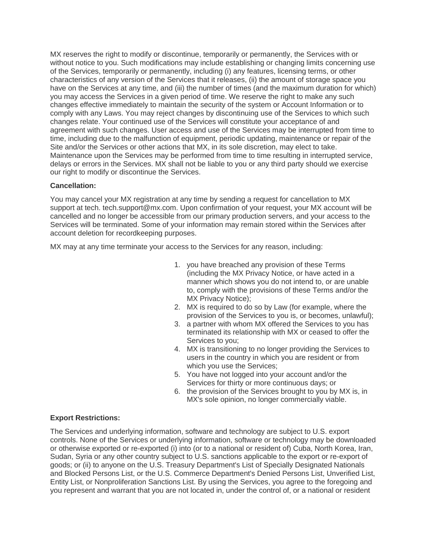MX reserves the right to modify or discontinue, temporarily or permanently, the Services with or of the Services, temporarily or permanently, including (i) any features, licensing terms, or other characteristics of any version of the Services that it releases, (ii) the amount of storage space you have on the Services at any time, and (iii) the number of times (and the maximum duration for which) you may access the Services in a given period of time. We reserve the right to make any such changes effective immediately to maintain the security of the system or Account Information or to comply with any Laws. You may reject changes by discontinuing use of the Services to which such changes relate. Your continued use of the Services will constitute your acceptance of and agreement with such changes. User access and use of the Services may be interrupted from time to time, including due to the malfunction of equipment, periodic updating, maintenance or repair of the Site and/or the Services or other actions that MX, in its sole discretion, may elect to take. delays or errors in the Services. MX shall not be liable to you or any third party should we exercise our right to modify or discontinue the Services. without notice to you. Such modifications may include establishing or changing limits concerning use Maintenance upon the Services may be performed from time to time resulting in interrupted service,

## **Cancellation:**

 You may cancel your MX registration at any time by sending a request for cancellation to MX support at tech. [tech.support@mx.com](mailto:tech.support@mx.com). Upon confirmation of your request, your MX account will be Services will be terminated. Some of your information may remain stored within the Services after cancelled and no longer be accessible from our primary production servers, and your access to the account deletion for recordkeeping purposes.

MX may at any time terminate your access to the Services for any reason, including:

- (including the MX Privacy Notice, or have acted in a manner which shows you do not intend to, or are unable to, comply with the provisions of these Terms and/or the MX Privacy Notice); 1. you have breached any provision of these Terms
- 2. MX is required to do so by Law (for example, where the provision of the Services to you is, or becomes, unlawful);
- 3. a partner with whom MX offered the Services to you has terminated its relationship with MX or ceased to offer the Services to you;
- users in the country in which you are resident or from 4. MX is transitioning to no longer providing the Services to which you use the Services;
- Services for thirty or more continuous days; or 5. You have not logged into your account and/or the
- 6. the provision of the Services brought to you by MX is, in MX's sole opinion, no longer commercially viable.

## **Export Restrictions:**

 The Services and underlying information, software and technology are subject to U.S. export controls. None of the Services or underlying information, software or technology may be downloaded or otherwise exported or re-exported (i) into (or to a national or resident of) Cuba, North Korea, Iran, Sudan, Syria or any other country subject to U.S. sanctions applicable to the export or re-export of goods; or (ii) to anyone on the U.S. Treasury Department's List of Specially Designated Nationals and Blocked Persons List, or the U.S. Commerce Department's Denied Persons List, Unverified List, Entity List, or Nonproliferation Sanctions List. By using the Services, you agree to the foregoing and you represent and warrant that you are not located in, under the control of, or a national or resident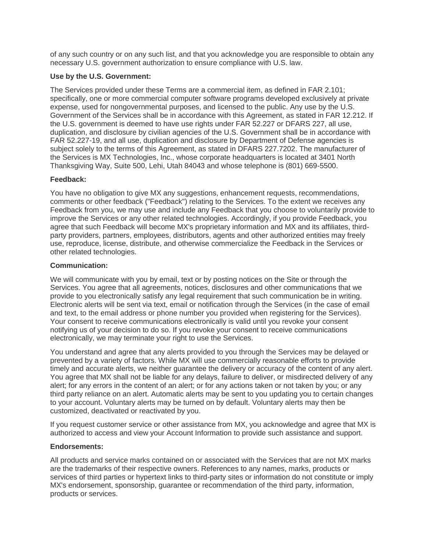of any such country or on any such list, and that you acknowledge you are responsible to obtain any necessary U.S. government authorization to ensure compliance with U.S. law.

## **Use by the U.S. Government:**

 The Services provided under these Terms are a commercial item, as defined in FAR 2.101; specifically, one or more commercial computer software programs developed exclusively at private expense, used for nongovernmental purposes, and licensed to the public. Any use by the U.S. Government of the Services shall be in accordance with this Agreement, as stated in FAR 12.212. If the U.S. government is deemed to have use rights under FAR 52.227 or DFARS 227, all use, duplication, and disclosure by civilian agencies of the U.S. Government shall be in accordance with FAR 52.227-19, and all use, duplication and disclosure by Department of Defense agencies is subject solely to the terms of this Agreement, as stated in DFARS 227.7202. The manufacturer of the Services is MX Technologies, Inc., whose corporate headquarters is located at 3401 North Thanksgiving Way, Suite 500, Lehi, Utah 84043 and whose telephone is (801) 669-5500.

### **Feedback:**

 You have no obligation to give MX any suggestions, enhancement requests, recommendations, comments or other feedback ("Feedback") relating to the Services. To the extent we receives any Feedback from you, we may use and include any Feedback that you choose to voluntarily provide to improve the Services or any other related technologies. Accordingly, if you provide Feedback, you party providers, partners, employees, distributors, agents and other authorized entities may freely use, reproduce, license, distribute, and otherwise commercialize the Feedback in the Services or agree that such Feedback will become MX's proprietary information and MX and its affiliates, thirdother related technologies.

### **Communication:**

 We will communicate with you by email, text or by posting notices on the Site or through the Services. You agree that all agreements, notices, disclosures and other communications that we provide to you electronically satisfy any legal requirement that such communication be in writing. Electronic alerts will be sent via text, email or notification through the Services (in the case of email notifying us of your decision to do so. If you revoke your consent to receive communications electronically, we may terminate your right to use the Services. and text, to the email address or phone number you provided when registering for the Services). Your consent to receive communications electronically is valid until you revoke your consent

 You understand and agree that any alerts provided to you through the Services may be delayed or prevented by a variety of factors. While MX will use commercially reasonable efforts to provide timely and accurate alerts, we neither guarantee the delivery or accuracy of the content of any alert. You agree that MX shall not be liable for any delays, failure to deliver, or misdirected delivery of any alert; for any errors in the content of an alert; or for any actions taken or not taken by you; or any third party reliance on an alert. Automatic alerts may be sent to you updating you to certain changes to your account. Voluntary alerts may be turned on by default. Voluntary alerts may then be customized, deactivated or reactivated by you.

 If you request customer service or other assistance from MX, you acknowledge and agree that MX is authorized to access and view your Account Information to provide such assistance and support.

## **Endorsements:**

 All products and service marks contained on or associated with the Services that are not MX marks are the trademarks of their respective owners. References to any names, marks, products or services of third parties or hypertext links to third-party sites or information do not constitute or imply MX's endorsement, sponsorship, guarantee or recommendation of the third party, information, products or services.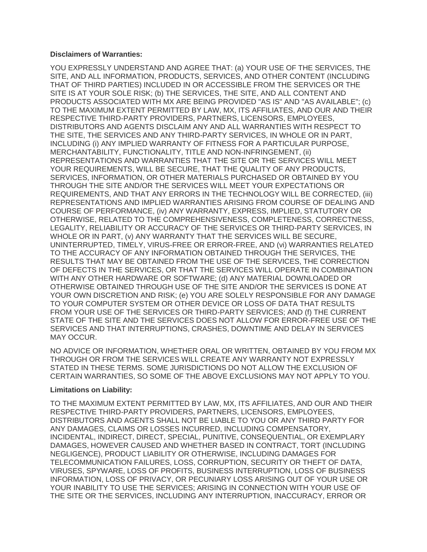#### **Disclaimers of Warranties:**

 YOU EXPRESSLY UNDERSTAND AND AGREE THAT: (a) YOUR USE OF THE SERVICES, THE SITE, AND ALL INFORMATION, PRODUCTS, SERVICES, AND OTHER CONTENT (INCLUDING THAT OF THIRD PARTIES) INCLUDED IN OR ACCESSIBLE FROM THE SERVICES OR THE SITE IS AT YOUR SOLE RISK; (b) THE SERVICES, THE SITE, AND ALL CONTENT AND PRODUCTS ASSOCIATED WITH MX ARE BEING PROVIDED "AS IS" AND "AS AVAILABLE"; (c) TO THE MAXIMUM EXTENT PERMITTED BY LAW, MX, ITS AFFILIATES, AND OUR AND THEIR DISTRIBUTORS AND AGENTS DISCLAIM ANY AND ALL WARRANTIES WITH RESPECT TO THE SITE, THE SERVICES AND ANY THIRD-PARTY SERVICES, IN WHOLE OR IN PART, INCLUDING (i) ANY IMPLIED WARRANTY OF FITNESS FOR A PARTICULAR PURPOSE, MERCHANTABILITY, FUNCTIONALITY, TITLE AND NON-INFRINGEMENT, (ii) REPRESENTATIONS AND WARRANTIES THAT THE SITE OR THE SERVICES WILL MEET YOUR REQUIREMENTS, WILL BE SECURE, THAT THE QUALITY OF ANY PRODUCTS, SERVICES, INFORMATION, OR OTHER MATERIALS PURCHASED OR OBTAINED BY YOU THROUGH THE SITE AND/OR THE SERVICES WILL MEET YOUR EXPECTATIONS OR REQUIREMENTS, AND THAT ANY ERRORS IN THE TECHNOLOGY WILL BE CORRECTED, (iii) REPRESENTATIONS AND IMPLIED WARRANTIES ARISING FROM COURSE OF DEALING AND COURSE OF PERFORMANCE, (iv) ANY WARRANTY, EXPRESS, IMPLIED, STATUTORY OR OTHERWISE, RELATED TO THE COMPREHENSIVENESS, COMPLETENESS, CORRECTNESS, LEGALITY, RELIABILITY OR ACCURACY OF THE SERVICES OR THIRD-PARTY SERVICES, IN WHOLE OR IN PART, (v) ANY WARRANTY THAT THE SERVICES WILL BE SECURE, UNINTERRUPTED, TIMELY, VIRUS-FREE OR ERROR-FREE, AND (vi) WARRANTIES RELATED TO THE ACCURACY OF ANY INFORMATION OBTAINED THROUGH THE SERVICES, THE RESULTS THAT MAY BE OBTAINED FROM THE USE OF THE SERVICES, THE CORRECTION OF DEFECTS IN THE SERVICES, OR THAT THE SERVICES WILL OPERATE IN COMBINATION WITH ANY OTHER HARDWARE OR SOFTWARE; (d) ANY MATERIAL DOWNLOADED OR OTHERWISE OBTAINED THROUGH USE OF THE SITE AND/OR THE SERVICES IS DONE AT YOUR OWN DISCRETION AND RISK; (e) YOU ARE SOLELY RESPONSIBLE FOR ANY DAMAGE TO YOUR COMPUTER SYSTEM OR OTHER DEVICE OR LOSS OF DATA THAT RESULTS FROM YOUR USE OF THE SERVICES OR THIRD-PARTY SERVICES; AND (f) THE CURRENT STATE OF THE SITE AND THE SERVICES DOES NOT ALLOW FOR ERROR-FREE USE OF THE SERVICES AND THAT INTERRUPTIONS, CRASHES, DOWNTIME AND DELAY IN SERVICES RESPECTIVE THIRD-PARTY PROVIDERS, PARTNERS, LICENSORS, EMPLOYEES, MAY OCCUR.

 NO ADVICE OR INFORMATION, WHETHER ORAL OR WRITTEN, OBTAINED BY YOU FROM MX THROUGH OR FROM THE SERVICES WILL CREATE ANY WARRANTY NOT EXPRESSLY STATED IN THESE TERMS. SOME JURISDICTIONS DO NOT ALLOW THE EXCLUSION OF CERTAIN WARRANTIES, SO SOME OF THE ABOVE EXCLUSIONS MAY NOT APPLY TO YOU.

#### **Limitations on Liability:**

 TO THE MAXIMUM EXTENT PERMITTED BY LAW, MX, ITS AFFILIATES, AND OUR AND THEIR DISTRIBUTORS AND AGENTS SHALL NOT BE LIABLE TO YOU OR ANY THIRD PARTY FOR ANY DAMAGES, CLAIMS OR LOSSES INCURRED, INCLUDING COMPENSATORY, INCIDENTAL, INDIRECT, DIRECT, SPECIAL, PUNITIVE, CONSEQUENTIAL, OR EXEMPLARY DAMAGES, HOWEVER CAUSED AND WHETHER BASED IN CONTRACT, TORT (INCLUDING NEGLIGENCE), PRODUCT LIABILITY OR OTHERWISE, INCLUDING DAMAGES FOR TELECOMMUNICATION FAILURES, LOSS, CORRUPTION, SECURITY OR THEFT OF DATA, VIRUSES, SPYWARE, LOSS OF PROFITS, BUSINESS INTERRUPTION, LOSS OF BUSINESS INFORMATION, LOSS OF PRIVACY, OR PECUNIARY LOSS ARISING OUT OF YOUR USE OR YOUR INABILITY TO USE THE SERVICES; ARISING IN CONNECTION WITH YOUR USE OF THE SITE OR THE SERVICES, INCLUDING ANY INTERRUPTION, INACCURACY, ERROR OR RESPECTIVE THIRD-PARTY PROVIDERS, PARTNERS, LICENSORS, EMPLOYEES,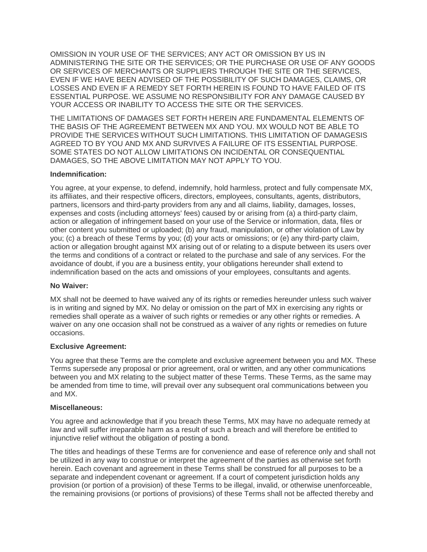OMISSION IN YOUR USE OF THE SERVICES; ANY ACT OR OMISSION BY US IN ADMINISTERING THE SITE OR THE SERVICES; OR THE PURCHASE OR USE OF ANY GOODS OR SERVICES OF MERCHANTS OR SUPPLIERS THROUGH THE SITE OR THE SERVICES, EVEN IF WE HAVE BEEN ADVISED OF THE POSSIBILITY OF SUCH DAMAGES, CLAIMS, OR LOSSES AND EVEN IF A REMEDY SET FORTH HEREIN IS FOUND TO HAVE FAILED OF ITS ESSENTIAL PURPOSE. WE ASSUME NO RESPONSIBILITY FOR ANY DAMAGE CAUSED BY YOUR ACCESS OR INABILITY TO ACCESS THE SITE OR THE SERVICES.

 THE LIMITATIONS OF DAMAGES SET FORTH HEREIN ARE FUNDAMENTAL ELEMENTS OF THE BASIS OF THE AGREEMENT BETWEEN MX AND YOU. MX WOULD NOT BE ABLE TO PROVIDE THE SERVICES WITHOUT SUCH LIMITATIONS. THIS LIMITATION OF DAMAGESIS AGREED TO BY YOU AND MX AND SURVIVES A FAILURE OF ITS ESSENTIAL PURPOSE. SOME STATES DO NOT ALLOW LIMITATIONS ON INCIDENTAL OR CONSEQUENTIAL DAMAGES, SO THE ABOVE LIMITATION MAY NOT APPLY TO YOU.

## **Indemnification:**

 You agree, at your expense, to defend, indemnify, hold harmless, protect and fully compensate MX, its affiliates, and their respective officers, directors, employees, consultants, agents, distributors, partners, licensors and third-party providers from any and all claims, liability, damages, losses, expenses and costs (including attorneys' fees) caused by or arising from (a) a third-party claim, action or allegation of infringement based on your use of the Service or information, data, files or other content you submitted or uploaded; (b) any fraud, manipulation, or other violation of Law by you; (c) a breach of these Terms by you; (d) your acts or omissions; or (e) any third-party claim, action or allegation brought against MX arising out of or relating to a dispute between its users over the terms and conditions of a contract or related to the purchase and sale of any services. For the avoidance of doubt, if you are a business entity, your obligations hereunder shall extend to indemnification based on the acts and omissions of your employees, consultants and agents.

## **No Waiver:**

 MX shall not be deemed to have waived any of its rights or remedies hereunder unless such waiver is in writing and signed by MX. No delay or omission on the part of MX in exercising any rights or remedies shall operate as a waiver of such rights or remedies or any other rights or remedies. A waiver on any one occasion shall not be construed as a waiver of any rights or remedies on future occasions.

# **Exclusive Agreement:**

 Terms supersede any proposal or prior agreement, oral or written, and any other communications between you and MX relating to the subject matter of these Terms. These Terms, as the same may be amended from time to time, will prevail over any subsequent oral communications between you You agree that these Terms are the complete and exclusive agreement between you and MX. These and MX.

## **Miscellaneous:**

 You agree and acknowledge that if you breach these Terms, MX may have no adequate remedy at law and will suffer irreparable harm as a result of such a breach and will therefore be entitled to injunctive relief without the obligation of posting a bond.

 The titles and headings of these Terms are for convenience and ease of reference only and shall not be utilized in any way to construe or interpret the agreement of the parties as otherwise set forth separate and independent covenant or agreement. If a court of competent jurisdiction holds any provision (or portion of a provision) of these Terms to be illegal, invalid, or otherwise unenforceable, the remaining provisions (or portions of provisions) of these Terms shall not be affected thereby and herein. Each covenant and agreement in these Terms shall be construed for all purposes to be a